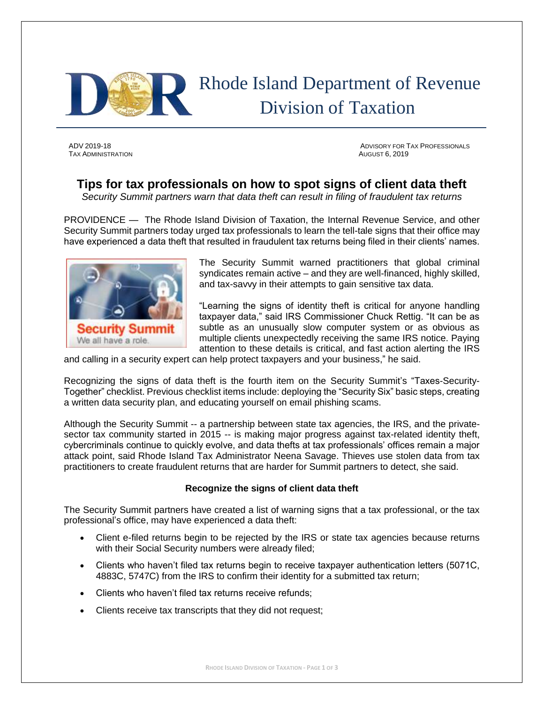

# Rhode Island Department of Revenue Division of Taxation

TAX ADMINISTRATION AUGUST 6, 2019

ADV 2019-18 ADVISORY FOR TAX PROFESSIONALS

## **Tips for tax professionals on how to spot signs of client data theft**

*Security Summit partners warn that data theft can result in filing of fraudulent tax returns*

PROVIDENCE — The Rhode Island Division of Taxation, the Internal Revenue Service, and other Security Summit partners today urged tax professionals to learn the tell-tale signs that their office may have experienced a data theft that resulted in fraudulent tax returns being filed in their clients' names.



The Security Summit warned practitioners that global criminal syndicates remain active – and they are well-financed, highly skilled, and tax-savvy in their attempts to gain sensitive tax data.

"Learning the signs of identity theft is critical for anyone handling taxpayer data," said IRS Commissioner Chuck Rettig. "It can be as subtle as an unusually slow computer system or as obvious as multiple clients unexpectedly receiving the same IRS notice. Paying attention to these details is critical, and fast action alerting the IRS

and calling in a security expert can help protect taxpayers and your business," he said.

Recognizing the signs of data theft is the fourth item on the Security Summit's "Taxes-Security-Together" checklist. Previous checklist items include: deploying the "Security Six" basic steps, creating a written data security plan, and educating yourself on email phishing scams.

Although the Security Summit -- a partnership between state tax agencies, the IRS, and the privatesector tax community started in 2015 -- is making major progress against tax-related identity theft, cybercriminals continue to quickly evolve, and data thefts at tax professionals' offices remain a major attack point, said Rhode Island Tax Administrator Neena Savage. Thieves use stolen data from tax practitioners to create fraudulent returns that are harder for Summit partners to detect, she said.

### **Recognize the signs of client data theft**

The Security Summit partners have created a list of warning signs that a tax professional, or the tax professional's office, may have experienced a data theft:

- Client e-filed returns begin to be rejected by the IRS or state tax agencies because returns with their Social Security numbers were already filed;
- Clients who haven't filed tax returns begin to receive taxpayer authentication letters (5071C, 4883C, 5747C) from the IRS to confirm their identity for a submitted tax return;
- Clients who haven't filed tax returns receive refunds;
- Clients receive tax transcripts that they did not request;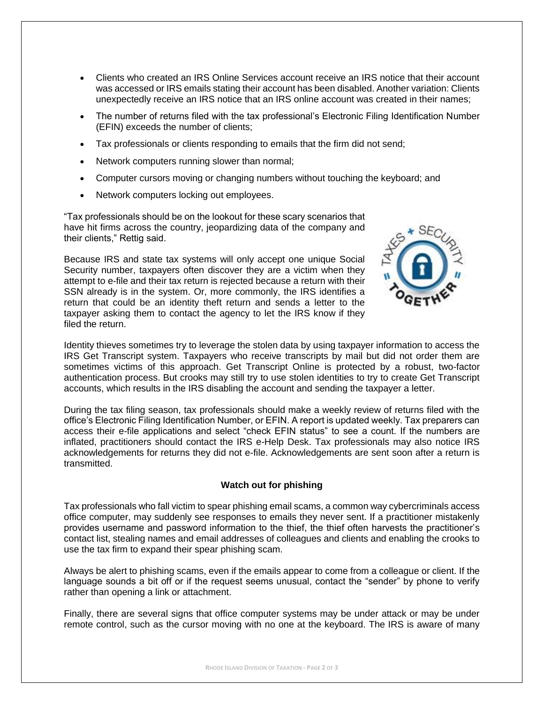- Clients who created an IRS Online Services account receive an IRS notice that their account was accessed or IRS emails stating their account has been disabled. Another variation: Clients unexpectedly receive an IRS notice that an IRS online account was created in their names;
- The number of returns filed with the tax professional's Electronic Filing Identification Number (EFIN) exceeds the number of clients;
- Tax professionals or clients responding to emails that the firm did not send;
- Network computers running slower than normal;
- Computer cursors moving or changing numbers without touching the keyboard; and
- Network computers locking out employees.

"Tax professionals should be on the lookout for these scary scenarios that have hit firms across the country, jeopardizing data of the company and their clients," Rettig said.

Because IRS and state tax systems will only accept one unique Social Security number, taxpayers often discover they are a victim when they attempt to e-file and their tax return is rejected because a return with their SSN already is in the system. Or, more commonly, the IRS identifies a return that could be an identity theft return and sends a letter to the taxpayer asking them to contact the agency to let the IRS know if they filed the return.



Identity thieves sometimes try to leverage the stolen data by using taxpayer information to access the IRS Get Transcript system. Taxpayers who receive transcripts by mail but did not order them are sometimes victims of this approach. Get Transcript Online is protected by a robust, two-factor authentication process. But crooks may still try to use stolen identities to try to create Get Transcript accounts, which results in the IRS disabling the account and sending the taxpayer a letter.

During the tax filing season, tax professionals should make a weekly review of returns filed with the office's Electronic Filing Identification Number, or EFIN. A report is updated weekly. Tax preparers can access their e-file applications and select "check EFIN status" to see a count. If the numbers are inflated, practitioners should contact the IRS e-Help Desk. Tax professionals may also notice IRS acknowledgements for returns they did not e-file. Acknowledgements are sent soon after a return is transmitted.

#### **Watch out for phishing**

Tax professionals who fall victim to spear phishing email scams, a common way cybercriminals access office computer, may suddenly see responses to emails they never sent. If a practitioner mistakenly provides username and password information to the thief, the thief often harvests the practitioner's contact list, stealing names and email addresses of colleagues and clients and enabling the crooks to use the tax firm to expand their spear phishing scam.

Always be alert to phishing scams, even if the emails appear to come from a colleague or client. If the language sounds a bit off or if the request seems unusual, contact the "sender" by phone to verify rather than opening a link or attachment.

Finally, there are several signs that office computer systems may be under attack or may be under remote control, such as the cursor moving with no one at the keyboard. The IRS is aware of many